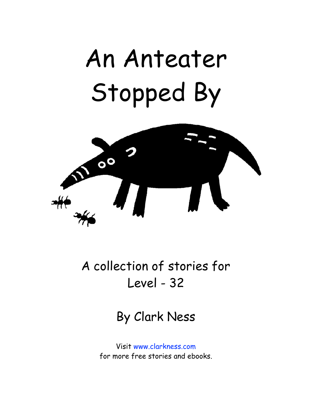## An Anteater Stopped By



A collection of stories for Level - 32

By Clark Ness

Visit [www.clarkness.com](http://www.clarkness.com) for more free stories and ebooks.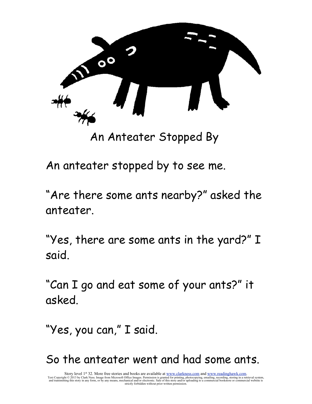

An Anteater Stopped By

An anteater stopped by to see me.

"Are there some ants nearby?" asked the anteater.

"Yes, there are some ants in the yard?" I said.

"Can I go and eat some of your ants?" it asked.

"Yes, you can," I said.

So the anteater went and had some ants.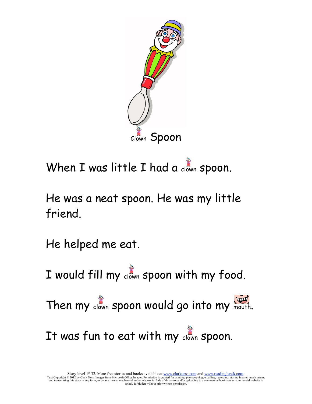

When I was little I had a clown spoon.

He was a neat spoon. He was my little friend.

He helped me eat.

I would fill my clown spoon with my food.

Then my clown spoon would go into my mouth.

It was fun to eat with my clown spoon.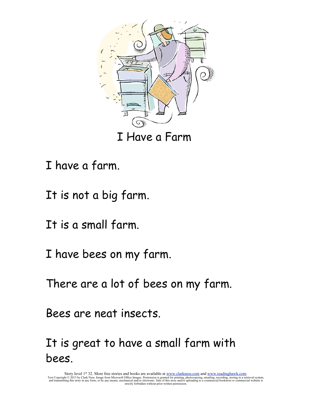

- I have a farm.
- It is not a big farm.
- It is a small farm.
- I have bees on my farm.
- There are a lot of bees on my farm.
- Bees are neat insects.

It is great to have a small farm with bees.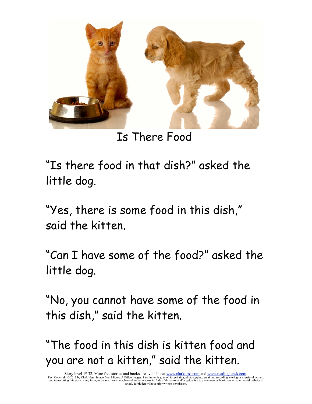

Is There Food

"Is there food in that dish?" asked the little dog.

"Yes, there is some food in this dish," said the kitten.

"Can I have some of the food?" asked the little dog.

"No, you cannot have some of the food in this dish," said the kitten.

"The food in this dish is kitten food and you are not a kitten," said the kitten.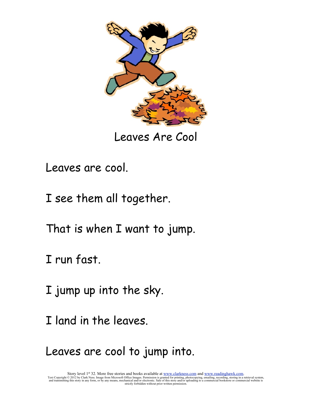

Leaves Are Cool

- Leaves are cool.
- I see them all together.
- That is when I want to jump.
- I run fast.
- I jump up into the sky.
- I land in the leaves.
- Leaves are cool to jump into.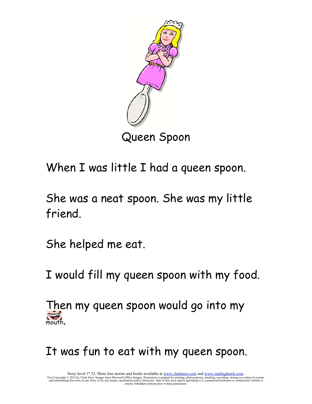

Queen Spoon

When I was little I had a queen spoon.

She was a neat spoon. She was my little friend.

She helped me eat.

I would fill my queen spoon with my food.

Then my queen spoon would go into my mouth.

It was fun to eat with my queen spoon.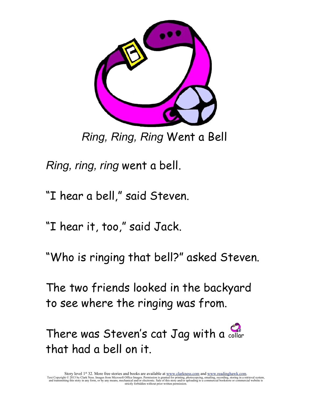

*Ring, Ring, Ring* Went a Bell

*Ring, ring, ring* went a bell.

"I hear a bell," said Steven.

"I hear it, too," said Jack.

"Who is ringing that bell?" asked Steven.

The two friends looked in the backyard to see where the ringing was from.

There was Steven's cat Jag with a collar that had a bell on it.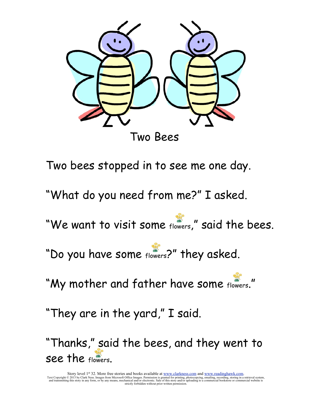

Two bees stopped in to see me one day. "What do you need from me?" I asked. "We want to visit some flowers," said the bees. "Do you have some flowers?" they asked.

"My mother and father have some flowers."

"They are in the yard," I said.

"Thanks," said the bees, and they went to see the flowers.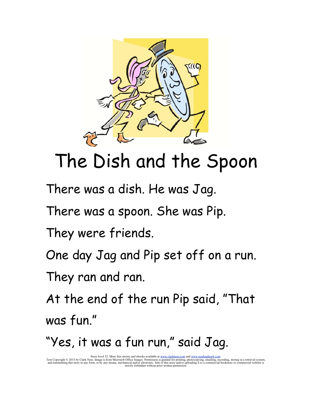

## The Dish and the Spoon

There was a dish. He was Jag.

There was a spoon. She was Pip.

They were friends.

One day Jag and Pip set off on a run.

They ran and ran.

At the end of the run Pip said, "That was fun."

"Yes, it was a fun run," said Jag.

Story level 32. More free stories and ebooks available at <u>www.clarkness.com</u> and <u>www.readinghawk.com</u><br>Text Copyright © 2015 by Clark Ness. Image is from Microsoft Office Images. Permission is granted for printing, photoc strictly forbidden without prior written permission.